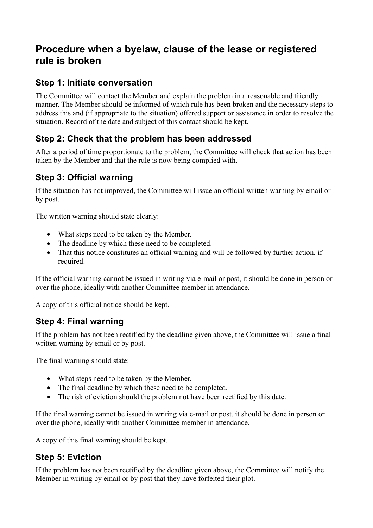# **Procedure when a byelaw, clause of the lease or registered rule is broken**

#### **Step 1: Initiate conversation**

The Committee will contact the Member and explain the problem in a reasonable and friendly manner. The Member should be informed of which rule has been broken and the necessary steps to address this and (if appropriate to the situation) offered support or assistance in order to resolve the situation. Record of the date and subject of this contact should be kept.

# **Step 2: Check that the problem has been addressed**

After a period of time proportionate to the problem, the Committee will check that action has been taken by the Member and that the rule is now being complied with.

#### **Step 3: Official warning**

If the situation has not improved, the Committee will issue an official written warning by email or by post.

The written warning should state clearly:

- What steps need to be taken by the Member.
- The deadline by which these need to be completed.
- That this notice constitutes an official warning and will be followed by further action, if required.

If the official warning cannot be issued in writing via e-mail or post, it should be done in person or over the phone, ideally with another Committee member in attendance.

A copy of this official notice should be kept.

# **Step 4: Final warning**

If the problem has not been rectified by the deadline given above, the Committee will issue a final written warning by email or by post.

The final warning should state:

- What steps need to be taken by the Member.
- The final deadline by which these need to be completed.
- The risk of eviction should the problem not have been rectified by this date.

If the final warning cannot be issued in writing via e-mail or post, it should be done in person or over the phone, ideally with another Committee member in attendance.

A copy of this final warning should be kept.

# **Step 5: Eviction**

If the problem has not been rectified by the deadline given above, the Committee will notify the Member in writing by email or by post that they have forfeited their plot.